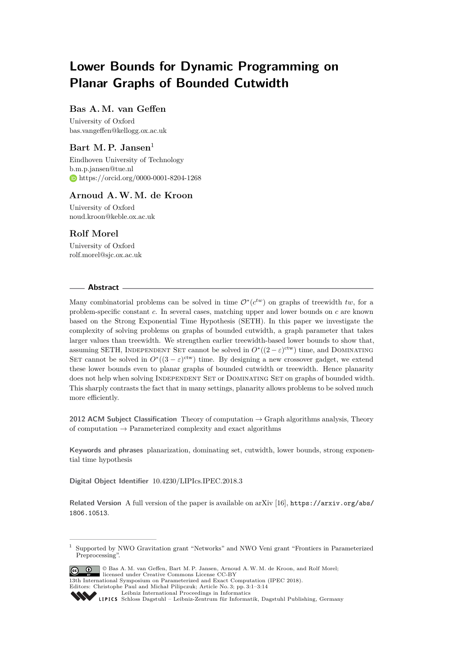# **Lower Bounds for Dynamic Programming on Planar Graphs of Bounded Cutwidth**

## **Bas A. M. van Geffen**

University of Oxford [bas.vangeffen@kellogg.ox.ac.uk](mailto:bas.vangeffen@kellogg.ox.ac.uk)

# Bart M. P. Jansen<sup>1</sup>

Eindhoven University of Technology [b.m.p.jansen@tue.nl](mailto:b.m.p.jansen@tue.nl) <https://orcid.org/0000-0001-8204-1268>

## **Arnoud A.W. M. de Kroon**

University of Oxford [noud.kroon@keble.ox.ac.uk](mailto:noud.kroon@keble.ox.ac.uk)

# **Rolf Morel**

University of Oxford [rolf.morel@sjc.ox.ac.uk](mailto:rolf.morel@sjc.ox.ac.uk)

#### **Abstract**

Many combinatorial problems can be solved in time  $\mathcal{O}^*(c^{tw})$  on graphs of treewidth *tw*, for a problem-specific constant *c*. In several cases, matching upper and lower bounds on *c* are known based on the Strong Exponential Time Hypothesis (SETH). In this paper we investigate the complexity of solving problems on graphs of bounded cutwidth, a graph parameter that takes larger values than treewidth. We strengthen earlier treewidth-based lower bounds to show that, assuming SETH, INDEPENDENT SET cannot be solved in  $O^*((2-\varepsilon)^{\text{ctw}})$  time, and DOMINATING SET cannot be solved in  $O^*((3 - \varepsilon)^{\text{ctw}})$  time. By designing a new crossover gadget, we extend these lower bounds even to planar graphs of bounded cutwidth or treewidth. Hence planarity does not help when solving INDEPENDENT SET or DOMINATING SET on graphs of bounded width. This sharply contrasts the fact that in many settings, planarity allows problems to be solved much more efficiently.

**2012 ACM Subject Classification** Theory of computation → Graph algorithms analysis, Theory of computation  $\rightarrow$  Parameterized complexity and exact algorithms

**Keywords and phrases** planarization, dominating set, cutwidth, lower bounds, strong exponential time hypothesis

**Digital Object Identifier** [10.4230/LIPIcs.IPEC.2018.3](https://doi.org/10.4230/LIPIcs.IPEC.2018.3)

**Related Version** A full version of the paper is available on arXiv [\[16\]](#page-12-0), [https://arxiv.org/abs/](https://arxiv.org/abs/1806.10513) [1806.10513](https://arxiv.org/abs/1806.10513).

<sup>1</sup> Supported by NWO Gravitation grant "Networks" and NWO Veni grant "Frontiers in Parameterized Preprocessing".



Editors: Christophe Paul and Michał Pilipczuk; Article No. 3; pp. 3:1–3[:14](#page-13-0) [Leibniz International Proceedings in Informatics](http://www.dagstuhl.de/lipics/)

Leibniz International Froceedings in miormatics<br>
LIPICS [Schloss Dagstuhl – Leibniz-Zentrum für Informatik, Dagstuhl Publishing, Germany](http://www.dagstuhl.de)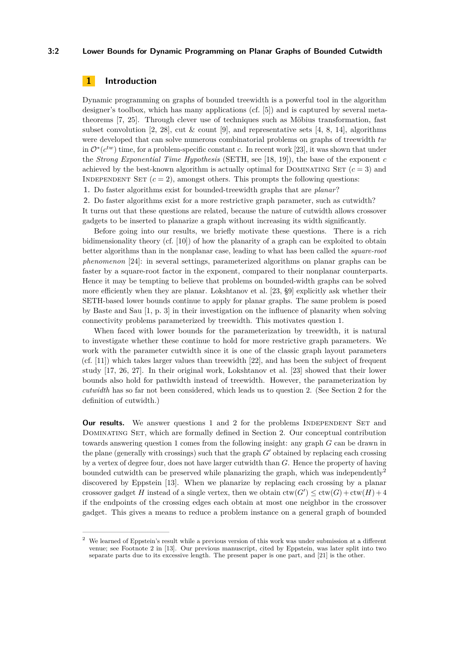### **3:2 Lower Bounds for Dynamic Programming on Planar Graphs of Bounded Cutwidth**

# **1 Introduction**

Dynamic programming on graphs of bounded treewidth is a powerful tool in the algorithm designer's toolbox, which has many applications (cf. [\[5\]](#page-12-1)) and is captured by several metatheorems [\[7,](#page-12-2) [25\]](#page-13-1). Through clever use of techniques such as Möbius transformation, fast subset convolution [\[2,](#page-11-0) [28\]](#page-13-2), cut  $\&$  count [\[9\]](#page-12-3), and representative sets [\[4,](#page-12-4) [8,](#page-12-5) [14\]](#page-12-6), algorithms were developed that can solve numerous combinatorial problems on graphs of treewidth *tw* in  $\mathcal{O}^*(c^{tw})$  time, for a problem-specific constant *c*. In recent work [\[23\]](#page-13-3), it was shown that under the *Strong Exponential Time Hypothesis* (SETH, see [\[18,](#page-12-7) [19\]](#page-12-8)), the base of the exponent *c* achieved by the best-known algorithm is actually optimal for DOMINATING SET  $(c = 3)$  and INDEPENDENT SET  $(c = 2)$ , amongst others. This prompts the following questions:

<span id="page-1-0"></span>**1.** Do faster algorithms exist for bounded-treewidth graphs that are *planar*?

<span id="page-1-1"></span>**2.** Do faster algorithms exist for a more restrictive graph parameter, such as cutwidth? It turns out that these questions are related, because the nature of cutwidth allows crossover gadgets to be inserted to planarize a graph without increasing its width significantly.

Before going into our results, we briefly motivate these questions. There is a rich bidimensionality theory (cf. [\[10\]](#page-12-9)) of how the planarity of a graph can be exploited to obtain better algorithms than in the nonplanar case, leading to what has been called the *square-root phenomenon* [\[24\]](#page-13-4): in several settings, parameterized algorithms on planar graphs can be faster by a square-root factor in the exponent, compared to their nonplanar counterparts. Hence it may be tempting to believe that problems on bounded-width graphs can be solved more efficiently when they are planar. Lokshtanov et al. [\[23,](#page-13-3) §9] explicitly ask whether their SETH-based lower bounds continue to apply for planar graphs. The same problem is posed by Baste and Sau [\[1,](#page-11-1) p. 3] in their investigation on the influence of planarity when solving connectivity problems parameterized by treewidth. This motivates question [1.](#page-1-0)

When faced with lower bounds for the parameterization by treewidth, it is natural to investigate whether these continue to hold for more restrictive graph parameters. We work with the parameter cutwidth since it is one of the classic graph layout parameters (cf.  $[11]$ ) which takes larger values than treewidth  $[22]$ , and has been the subject of frequent study [\[17,](#page-12-11) [26,](#page-13-6) [27\]](#page-13-7). In their original work, Lokshtanov et al. [\[23\]](#page-13-3) showed that their lower bounds also hold for pathwidth instead of treewidth. However, the parameterization by *cutwidth* has so far not been considered, which leads us to question [2.](#page-1-1) (See Section [2](#page-2-0) for the definition of cutwidth.)

**Our results.** We answer questions [1](#page-1-0) and [2](#page-1-1) for the problems INDEPENDENT SET and Dominating Set, which are formally defined in Section [2.](#page-2-0) Our conceptual contribution towards answering question [1](#page-1-0) comes from the following insight: any graph *G* can be drawn in the plane (generally with crossings) such that the graph  $G'$  obtained by replacing each crossing by a vertex of degree four, does not have larger cutwidth than *G*. Hence the property of having bounded cutwidth can be preserved while planarizing the graph, which was independently<sup>[2](#page-1-2)</sup> discovered by Eppstein [\[13\]](#page-12-12). When we planarize by replacing each crossing by a planar crossover gadget *H* instead of a single vertex, then we obtain  $\text{ctw}(G') \leq \text{ctw}(G) + \text{ctw}(H) + 4$ if the endpoints of the crossing edges each obtain at most one neighbor in the crossover gadget. This gives a means to reduce a problem instance on a general graph of bounded

<span id="page-1-2"></span><sup>&</sup>lt;sup>2</sup> We learned of Eppstein's result while a previous version of this work was under submission at a different venue; see Footnote 2 in [\[13\]](#page-12-12). Our previous manuscript, cited by Eppstein, was later split into two separate parts due to its excessive length. The present paper is one part, and [\[21\]](#page-12-13) is the other.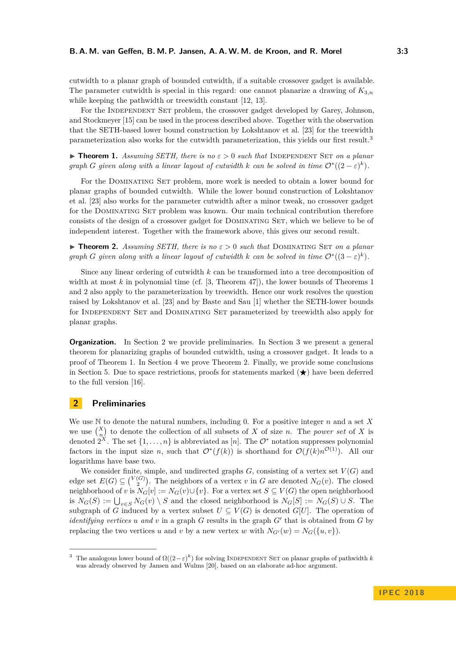cutwidth to a planar graph of bounded cutwidth, if a suitable crossover gadget is available. The parameter cutwidth is special in this regard: one cannot planarize a drawing of  $K_{3,n}$ while keeping the pathwidth or treewidth constant [\[12,](#page-12-14) [13\]](#page-12-12).

For the INDEPENDENT SET problem, the crossover gadget developed by Garey, Johnson, and Stockmeyer [\[15\]](#page-12-15) can be used in the process described above. Together with the observation that the SETH-based lower bound construction by Lokshtanov et al. [\[23\]](#page-13-3) for the treewidth parameterization also works for the cutwidth parameterization, this yields our first result.[3](#page-2-1)

<span id="page-2-2"></span>**If Theorem 1.** Assuming SETH, there is no  $\varepsilon > 0$  such that INDEPENDENT SET on a planar *graph G given along with a linear layout of cutwidth k can be solved in time*  $\mathcal{O}^*((2-\varepsilon)^k)$ *.* 

For the Dominating Set problem, more work is needed to obtain a lower bound for planar graphs of bounded cutwidth. While the lower bound construction of Lokshtanov et al. [\[23\]](#page-13-3) also works for the parameter cutwidth after a minor tweak, no crossover gadget for the Dominating Set problem was known. Our main technical contribution therefore consists of the design of a crossover gadget for Dominating Set, which we believe to be of independent interest. Together with the framework above, this gives our second result.

<span id="page-2-3"></span>**In Theorem 2.** Assuming SETH, there is no  $\varepsilon > 0$  such that DOMINATING SET on a planar *graph G given along with a linear layout of cutwidth k can be solved in time*  $\mathcal{O}^*((3-\varepsilon)^k)$ *.* 

Since any linear ordering of cutwidth *k* can be transformed into a tree decomposition of width at most *k* in polynomial time (cf. [\[3,](#page-12-16) Theorem 47]), the lower bounds of Theorems [1](#page-2-2) and [2](#page-2-3) also apply to the parameterization by treewidth. Hence our work resolves the question raised by Lokshtanov et al. [\[23\]](#page-13-3) and by Baste and Sau [\[1\]](#page-11-1) whether the SETH-lower bounds for Independent Set and Dominating Set parameterized by treewidth also apply for planar graphs.

**Organization.** In Section [2](#page-2-0) we provide preliminaries. In Section [3](#page-3-0) we present a general theorem for planarizing graphs of bounded cutwidth, using a crossover gadget. It leads to a proof of Theorem [1.](#page-2-2) In Section [4](#page-6-0) we prove Theorem [2.](#page-2-3) Finally, we provide some conclusions in Section [5.](#page-11-2) Due to space restrictions, proofs for statements marked  $(\star)$  have been deferred to the full version [\[16\]](#page-12-0).

## <span id="page-2-0"></span>**2 Preliminaries**

We use N to denote the natural numbers, including 0. For a positive integer *n* and a set *X* we use  $\binom{X}{n}$  to denote the collection of all subsets of *X* of size *n*. The *power set* of *X* is denoted  $2^X$ . The set  $\{1, \ldots, n\}$  is abbreviated as [*n*]. The  $\mathcal{O}^*$  notation suppresses polynomial factors in the input size *n*, such that  $O^*(f(k))$  is shorthand for  $O(f(k)n^{O(1)})$ . All our logarithms have base two.

We consider finite, simple, and undirected graphs  $G$ , consisting of a vertex set  $V(G)$  and edge set  $E(G) \subseteq {V(G) \choose 2}$ . The neighbors of a vertex *v* in *G* are denoted  $N_G(v)$ . The closed neighborhood of *v* is  $N_G[v] := N_G(v) \cup \{v\}$ . For a vertex set  $S \subseteq V(G)$  the open neighborhood is  $N_G(S) := \bigcup_{v \in S} N_G(v) \setminus S$  and the closed neighborhood is  $N_G[S] := N_G(S) \cup S$ . The subgraph of *G* induced by a vertex subset  $U \subseteq V(G)$  is denoted  $G[U]$ . The operation of *identifying vertices*  $u$  *and*  $v$  in a graph  $G$  results in the graph  $G'$  that is obtained from  $G$  by replacing the two vertices *u* and *v* by a new vertex *w* with  $N_{G'}(w) = N_G({u, v})$ .

<span id="page-2-1"></span><sup>&</sup>lt;sup>3</sup> The analogous lower bound of  $\Omega((2-\varepsilon)^k)$  for solving INDEPENDENT SET on planar graphs of pathwidth *k* was already observed by Jansen and Wulms [\[20\]](#page-12-17), based on an elaborate ad-hoc argument.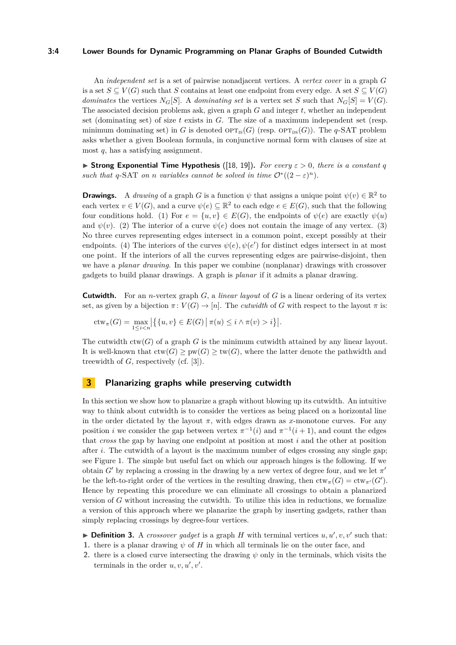#### **3:4 Lower Bounds for Dynamic Programming on Planar Graphs of Bounded Cutwidth**

An *independent set* is a set of pairwise nonadjacent vertices. A *vertex cover* in a graph *G* is a set  $S \subseteq V(G)$  such that *S* contains at least one endpoint from every edge. A set  $S \subseteq V(G)$ *dominates* the vertices  $N_G[S]$ . A *dominating set* is a vertex set *S* such that  $N_G[S] = V(G)$ . The associated decision problems ask, given a graph *G* and integer *t*, whether an independent set (dominating set) of size *t* exists in *G*. The size of a maximum independent set (resp. minimum dominating set) in *G* is denoted  $\mathrm{OPT}_{\mathrm{IS}}(G)$  (resp.  $\mathrm{OPT}_{\mathrm{DS}}(G)$ ). The *q*-SAT problem asks whether a given Boolean formula, in conjunctive normal form with clauses of size at most *q*, has a satisfying assignment.

**► Strong Exponential Time Hypothesis** ([\[18,](#page-12-7) [19\]](#page-12-8)). For every  $\varepsilon > 0$ , there is a constant *q such that*  $q$ -SAT *on n variables cannot be solved in time*  $O^*((2 - \varepsilon)^n)$ *.* 

**Drawings.** A *drawing* of a graph *G* is a function  $\psi$  that assigns a unique point  $\psi(v) \in \mathbb{R}^2$  to each vertex  $v \in V(G)$ , and a curve  $\psi(e) \subseteq \mathbb{R}^2$  to each edge  $e \in E(G)$ , such that the following four conditions hold. (1) For  $e = \{u, v\} \in E(G)$ , the endpoints of  $\psi(e)$  are exactly  $\psi(u)$ and  $\psi(v)$ . (2) The interior of a curve  $\psi(e)$  does not contain the image of any vertex. (3) No three curves representing edges intersect in a common point, except possibly at their endpoints. (4) The interiors of the curves  $\psi(e), \psi(e')$  for distinct edges intersect in at most one point. If the interiors of all the curves representing edges are pairwise-disjoint, then we have a *planar drawing*. In this paper we combine (nonplanar) drawings with crossover gadgets to build planar drawings. A graph is *planar* if it admits a planar drawing.

**Cutwidth.** For an *n*-vertex graph *G*, a *linear layout* of *G* is a linear ordering of its vertex set, as given by a bijection  $\pi: V(G) \to [n]$ . The *cutwidth* of *G* with respect to the layout  $\pi$  is:

$$
ctw_{\pi}(G) = \max_{1 \leq i < n} \left| \left\{ \{u, v\} \in E(G) \, \middle| \, \pi(u) \leq i \land \pi(v) > i \right\} \right|.
$$

The cutwidth  $\text{ctw}(G)$  of a graph G is the minimum cutwidth attained by any linear layout. It is well-known that  $\text{ctw}(G) \geq \text{pw}(G) \geq \text{tw}(G)$ , where the latter denote the pathwidth and treewidth of *G*, respectively (cf. [\[3\]](#page-12-16)).

## <span id="page-3-0"></span>**3 Planarizing graphs while preserving cutwidth**

In this section we show how to planarize a graph without blowing up its cutwidth. An intuitive way to think about cutwidth is to consider the vertices as being placed on a horizontal line in the order dictated by the layout  $\pi$ , with edges drawn as *x*-monotone curves. For any position *i* we consider the gap between vertex  $\pi^{-1}(i)$  and  $\pi^{-1}(i+1)$ , and count the edges that *cross* the gap by having one endpoint at position at most *i* and the other at position after *i*. The cutwidth of a layout is the maximum number of edges crossing any single gap; see Figure [1.](#page-4-0) The simple but useful fact on which our approach hinges is the following. If we obtain  $G'$  by replacing a crossing in the drawing by a new vertex of degree four, and we let  $\pi'$ be the left-to-right order of the vertices in the resulting drawing, then  $ctw_{\pi}(G) = ctw_{\pi'}(G')$ . Hence by repeating this procedure we can eliminate all crossings to obtain a planarized version of *G* without increasing the cutwidth. To utilize this idea in reductions, we formalize a version of this approach where we planarize the graph by inserting gadgets, rather than simply replacing crossings by degree-four vertices.

**Definition 3.** A *crossover gadget* is a graph *H* with terminal vertices  $u, u', v, v'$  such that:

- **1.** there is a planar drawing *ψ* of *H* in which all terminals lie on the outer face, and
- **2.** there is a closed curve intersecting the drawing  $\psi$  only in the terminals, which visits the terminals in the order  $u, v, u', v'$ .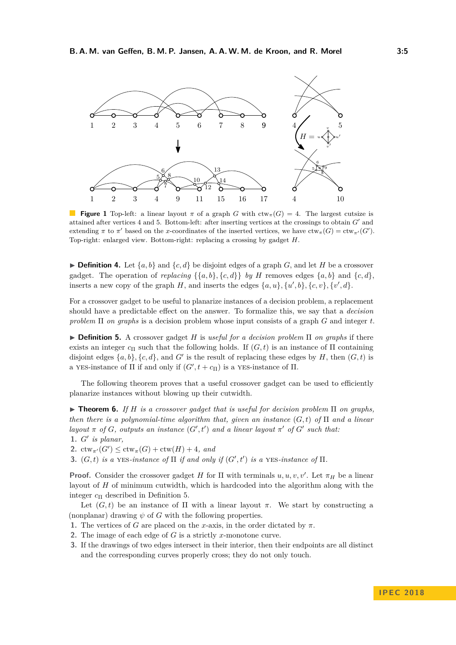<span id="page-4-0"></span>

**Figure 1** Top-left: a linear layout  $\pi$  of a graph *G* with  $ctw_{\pi}(G) = 4$ . The largest cutsize is attained after vertices  $4$  and  $5$ . Bottom-left: after inserting vertices at the crossings to obtain  $G'$  and extending  $\pi$  to  $\pi'$  based on the *x*-coordinates of the inserted vertices, we have  $ctw_{\pi}(G) = ctw_{\pi'}(G')$ . Top-right: enlarged view. Bottom-right: replacing a crossing by gadget *H*.

<span id="page-4-5"></span> $\triangleright$  **Definition 4.** Let  $\{a, b\}$  and  $\{c, d\}$  be disjoint edges of a graph *G*, and let *H* be a crossover gadget. The operation of *replacing*  $\{\{a,b\},\{c,d\}\}\$  *by H* removes edges  $\{a,b\}$  and  $\{c,d\}$ , inserts a new copy of the graph *H*, and inserts the edges  $\{a, u\}$ ,  $\{u', b\}$ ,  $\{c, v\}$ ,  $\{v', d\}$ .

For a crossover gadget to be useful to planarize instances of a decision problem, a replacement should have a predictable effect on the answer. To formalize this, we say that a *decision problem* Π *on graphs* is a decision problem whose input consists of a graph *G* and integer *t*.

<span id="page-4-1"></span>I **Definition 5.** A crossover gadget *H* is *useful for a decision problem* Π *on graphs* if there exists an integer  $c_{\Pi}$  such that the following holds. If  $(G, t)$  is an instance of  $\Pi$  containing disjoint edges  $\{a, b\}$ ,  $\{c, d\}$ , and *G*<sup> $\prime$ </sup> is the result of replacing these edges by *H*, then  $(G, t)$  is a YES-instance of  $\Pi$  if and only if  $(G', t + c_{\Pi})$  is a YES-instance of  $\Pi$ .

The following theorem proves that a useful crossover gadget can be used to efficiently planarize instances without blowing up their cutwidth.

<span id="page-4-6"></span> $\triangleright$  **Theorem 6.** *If H is a crossover gadget that is useful for decision problem*  $\Pi$  *on graphs, then there is a polynomial-time algorithm that, given an instance* (*G, t*) *of* Π *and a linear layout*  $\pi$  *of*  $G$ *, outputs an instance*  $(G', t')$  *and a linear layout*  $\pi'$  *of*  $G'$  *such that:* **1.** *G*<sup>0</sup> *is planar,*

2.  $ctw_{\pi'}(G') \leq ctw_{\pi}(G) + ctw(H) + 4$ *, and* 

**3.**  $(G, t)$  *is a* YES-*instance of*  $\Pi$  *if and only if*  $(G', t')$  *is a* YES-*instance of*  $\Pi$ *.* 

**Proof.** Consider the crossover gadget *H* for  $\Pi$  with terminals  $u, u, v, v'$ . Let  $\pi_H$  be a linear layout of *H* of minimum cutwidth, which is hardcoded into the algorithm along with the integer *c*<sup>Π</sup> described in Definition [5.](#page-4-1)

Let  $(G, t)$  be an instance of  $\Pi$  with a linear layout  $\pi$ . We start by constructing a (nonplanar) drawing  $\psi$  of *G* with the following properties.

- <span id="page-4-2"></span>**1.** The vertices of *G* are placed on the *x*-axis, in the order dictated by  $\pi$ .
- <span id="page-4-3"></span>**2.** The image of each edge of *G* is a strictly *x*-monotone curve.
- <span id="page-4-4"></span>**3.** If the drawings of two edges intersect in their interior, then their endpoints are all distinct and the corresponding curves properly cross; they do not only touch.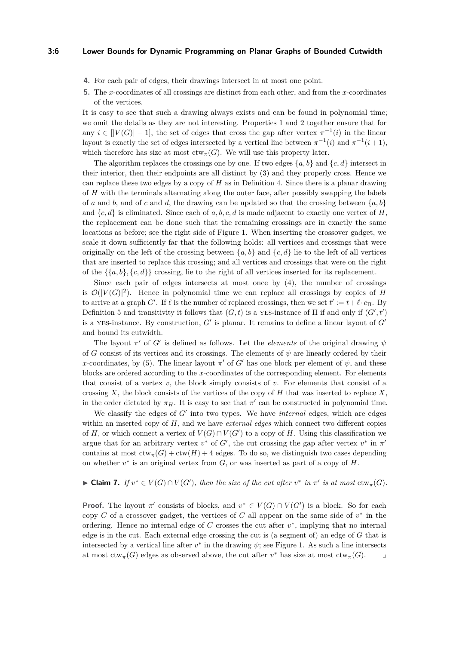#### **3:6 Lower Bounds for Dynamic Programming on Planar Graphs of Bounded Cutwidth**

- <span id="page-5-0"></span>**4.** For each pair of edges, their drawings intersect in at most one point.
- <span id="page-5-1"></span>**5.** The *x*-coordinates of all crossings are distinct from each other, and from the *x*-coordinates of the vertices.

It is easy to see that such a drawing always exists and can be found in polynomial time; we omit the details as they are not interesting. Properties [1](#page-4-2) and [2](#page-4-3) together ensure that for any  $i \in [|V(G)|-1]$ , the set of edges that cross the gap after vertex  $\pi^{-1}(i)$  in the linear layout is exactly the set of edges intersected by a vertical line between  $\pi^{-1}(i)$  and  $\pi^{-1}(i+1)$ , which therefore has size at most  $ctw<sub>\pi</sub>(G)$ . We will use this property later.

The algorithm replaces the crossings one by one. If two edges  $\{a, b\}$  and  $\{c, d\}$  intersect in their interior, then their endpoints are all distinct by [\(3\)](#page-4-4) and they properly cross. Hence we can replace these two edges by a copy of *H* as in Definition [4.](#page-4-5) Since there is a planar drawing of *H* with the terminals alternating along the outer face, after possibly swapping the labels of *a* and *b*, and of *c* and *d*, the drawing can be updated so that the crossing between  $\{a, b\}$ and  $\{c, d\}$  is eliminated. Since each of a, b, c, d is made adjacent to exactly one vertex of *H*, the replacement can be done such that the remaining crossings are in exactly the same locations as before; see the right side of Figure [1.](#page-4-0) When inserting the crossover gadget, we scale it down sufficiently far that the following holds: all vertices and crossings that were originally on the left of the crossing between  $\{a, b\}$  and  $\{c, d\}$  lie to the left of all vertices that are inserted to replace this crossing; and all vertices and crossings that were on the right of the  $\{\{a,b\},\{c,d\}\}\)$  crossing, lie to the right of all vertices inserted for its replacement.

Since each pair of edges intersects at most once by [\(4\)](#page-5-0), the number of crossings is  $\mathcal{O}(|V(G)|^2)$ . Hence in polynomial time we can replace all crossings by copies of *H* to arrive at a graph *G'*. If  $\ell$  is the number of replaced crossings, then we set  $t' := t + \ell \cdot c_{\Pi}$ . By Definition [5](#page-4-1) and transitivity it follows that  $(G, t)$  is a YES-instance of  $\Pi$  if and only if  $(G', t')$ is a YES-instance. By construction,  $G'$  is planar. It remains to define a linear layout of  $G'$ and bound its cutwidth.

The layout  $\pi'$  of *G'* is defined as follows. Let the *elements* of the original drawing  $\psi$ of *G* consist of its vertices and its crossings. The elements of  $\psi$  are linearly ordered by their *x*-coordinates, by [\(5\)](#page-5-1). The linear layout  $\pi'$  of  $G'$  has one block per element of  $\psi$ , and these blocks are ordered according to the *x*-coordinates of the corresponding element. For elements that consist of a vertex *v*, the block simply consists of *v*. For elements that consist of a crossing  $X$ , the block consists of the vertices of the copy of  $H$  that was inserted to replace  $X$ , in the order dictated by  $\pi_H$ . It is easy to see that  $\pi'$  can be constructed in polynomial time.

We classify the edges of G' into two types. We have *internal* edges, which are edges within an inserted copy of *H*, and we have *external edges* which connect two different copies of *H*, or which connect a vertex of  $V(G) \cap V(G')$  to a copy of *H*. Using this classification we argue that for an arbitrary vertex  $v^*$  of  $G'$ , the cut crossing the gap after vertex  $v^*$  in  $\pi'$ contains at most  $ctw_{\pi}(G) + ctw(H) + 4$  edges. To do so, we distinguish two cases depending on whether  $v^*$  is an original vertex from  $G$ , or was inserted as part of a copy of  $H$ .

# ► Claim 7. *If*  $v^* \in V(G) \cap V(G')$ , then the size of the cut after  $v^*$  in  $\pi'$  is at most  $\text{ctw}_{\pi}(G)$ .

**Proof.** The layout  $\pi'$  consists of blocks, and  $v^* \in V(G) \cap V(G')$  is a block. So for each copy  $C$  of a crossover gadget, the vertices of  $C$  all appear on the same side of  $v^*$  in the ordering. Hence no internal edge of *C* crosses the cut after  $v^*$ , implying that no internal edge is in the cut. Each external edge crossing the cut is (a segment of) an edge of *G* that is intersected by a vertical line after  $v^*$  in the drawing  $\psi$ ; see Figure [1.](#page-4-0) As such a line intersects at most  $ctw_{\pi}(G)$  edges as observed above, the cut after  $v^*$  has size at most  $ctw_{\pi}(G)$ .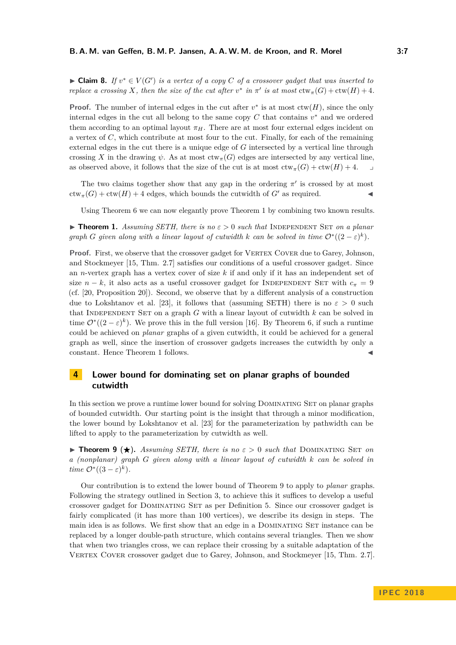► **Claim 8.** *If*  $v^* \in V(G')$  *is a vertex of a copy C of a crossover gadget that was inserted to replace a crossing X*, then the size of the cut after  $v^*$  in  $\pi'$  is at most  $ctw_{\pi}(G) + ctw(H) + 4$ .

**Proof.** The number of internal edges in the cut after  $v^*$  is at most  $\text{ctw}(H)$ , since the only internal edges in the cut all belong to the same copy  $C$  that contains  $v^*$  and we ordered them according to an optimal layout  $\pi_H$ . There are at most four external edges incident on a vertex of *C*, which contribute at most four to the cut. Finally, for each of the remaining external edges in the cut there is a unique edge of *G* intersected by a vertical line through crossing *X* in the drawing  $\psi$ . As at most  $ctw<sub>\pi</sub>(G)$  edges are intersected by any vertical line. as observed above, it follows that the size of the cut is at most  $ctw_{\pi}(G) + ctw(H) + 4$ .

The two claims together show that any gap in the ordering  $\pi'$  is crossed by at most  $ctw_{\pi}(G) + ctw(H) + 4$  edges, which bounds the cutwidth of *G'* as required.

Using Theorem [6](#page-4-6) we can now elegantly prove Theorem [1](#page-2-2) by combining two known results.

**If Theorem [1.](#page-2-2)** Assuming SETH, there is no  $\varepsilon > 0$  such that INDEPENDENT SET on a planar *graph G given along with a linear layout of cutwidth k can be solved in time*  $\mathcal{O}^*((2 - \varepsilon)^k)$ *.* 

**Proof.** First, we observe that the crossover gadget for VERTEX COVER due to Garey, Johnson, and Stockmeyer [\[15,](#page-12-15) Thm. 2.7] satisfies our conditions of a useful crossover gadget. Since an *n*-vertex graph has a vertex cover of size *k* if and only if it has an independent set of size  $n - k$ , it also acts as a useful crossover gadget for INDEPENDENT SET with  $c<sub>\pi</sub> = 9$ (cf. [\[20,](#page-12-17) Proposition 20]). Second, we observe that by a different analysis of a construction due to Lokshtanov et al. [\[23\]](#page-13-3), it follows that (assuming SETH) there is no  $\varepsilon > 0$  such that INDEPENDENT SET on a graph  $G$  with a linear layout of cutwidth  $k$  can be solved in time  $\mathcal{O}^*((2-\varepsilon)^k)$ . We prove this in the full version [\[16\]](#page-12-0). By Theorem [6,](#page-4-6) if such a runtime could be achieved on *planar* graphs of a given cutwidth, it could be achieved for a general graph as well, since the insertion of crossover gadgets increases the cutwidth by only a constant. Hence Theorem [1](#page-2-2) follows.

# <span id="page-6-0"></span>**4 Lower bound for dominating set on planar graphs of bounded cutwidth**

In this section we prove a runtime lower bound for solving DOMINATING SET on planar graphs of bounded cutwidth. Our starting point is the insight that through a minor modification, the lower bound by Lokshtanov et al. [\[23\]](#page-13-3) for the parameterization by pathwidth can be lifted to apply to the parameterization by cutwidth as well.

<span id="page-6-1"></span>**Find 1 Figure 5**  $\star$  **Figure 3** *Assuming SETH, there is no*  $\varepsilon > 0$  *such that* DOMINATING SET *on a (nonplanar) graph G given along with a linear layout of cutwidth k can be solved in time*  $\mathcal{O}^*((3-\varepsilon)^k)$ *.* 

Our contribution is to extend the lower bound of Theorem [9](#page-6-1) to apply to *planar* graphs. Following the strategy outlined in Section [3,](#page-3-0) to achieve this it suffices to develop a useful crossover gadget for Dominating Set as per Definition [5.](#page-4-1) Since our crossover gadget is fairly complicated (it has more than 100 vertices), we describe its design in steps. The main idea is as follows. We first show that an edge in a DOMINATING SET instance can be replaced by a longer double-path structure, which contains several triangles. Then we show that when two triangles cross, we can replace their crossing by a suitable adaptation of the VERTEX COVER crossover gadget due to Garey, Johnson, and Stockmeyer [\[15,](#page-12-15) Thm. 2.7].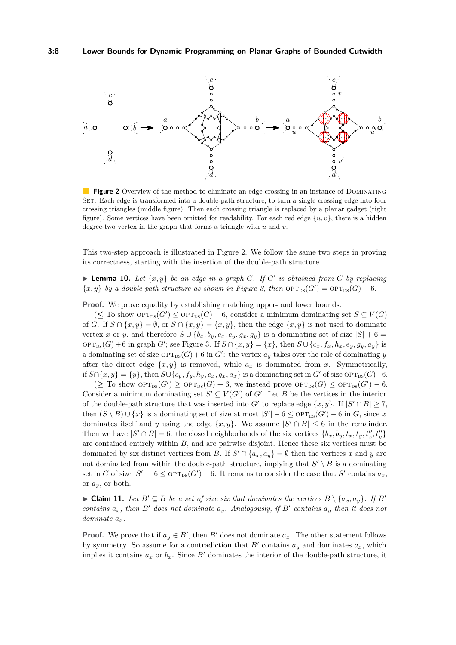<span id="page-7-0"></span>

**Figure 2** Overview of the method to eliminate an edge crossing in an instance of DOMINATING SET. Each edge is transformed into a double-path structure, to turn a single crossing edge into four crossing triangles (middle figure). Then each crossing triangle is replaced by a planar gadget (right figure). Some vertices have been omitted for readability. For each red edge  $\{u, v\}$ , there is a hidden degree-two vertex in the graph that forms a triangle with *u* and *v*.

This two-step approach is illustrated in Figure [2.](#page-7-0) We follow the same two steps in proving its correctness, starting with the insertion of the double-path structure.

<span id="page-7-1"></span>**Example 10.** Let  $\{x, y\}$  be an edge in a graph *G*. If *G*<sup> $\prime$ </sup> is obtained from *G* by replacing  $\{x, y\}$  *by a double-path structure as shown in Figure [3,](#page-8-0) then*  $\text{OPT}_{\text{DS}}(G') = \text{OPT}_{\text{DS}}(G) + 6$ *.* 

**Proof.** We prove equality by establishing matching upper- and lower bounds.

 $(\leq$  To show  $OPT_{DS}(G') \leq OPT_{DS}(G) + 6$ , consider a minimum dominating set  $S \subseteq V(G)$ of *G*. If  $S \cap \{x, y\} = \emptyset$ , or  $S \cap \{x, y\} = \{x, y\}$ , then the edge  $\{x, y\}$  is not used to dominate vertex *x* or *y*, and therefore  $S \cup \{b_x, b_y, e_x, e_y, g_x, g_y\}$  is a dominating set of size  $|S| + 6 =$  $\text{OPT}_{\text{DS}}(G) + 6$  in graph *G*'; see Figure [3.](#page-8-0) If  $S \cap \{x, y\} = \{x\}$ , then  $S \cup \{c_x, f_x, h_x, e_y, g_y, a_y\}$  is a dominating set of size  $\text{OPT}_{\text{DS}}(G) + 6$  in  $G'$ : the vertex  $a_y$  takes over the role of dominating *y* after the direct edge  $\{x, y\}$  is removed, while  $a_x$  is dominated from *x*. Symmetrically, if *S*∩{*x, y*} = {*y*}, then *S*∪{*c<sub>y</sub>, f<sub>y</sub>, h<sub>y</sub>, e<sub>x</sub>, g<sub>x</sub></sub>, a<sub>x</sub>}</sub> is a dominating set in <i>G'* of size  $\text{OPT}_{\text{DS}}(G)+6$ .

 $(\geq$  To show  $\mathrm{OPT}_{\mathrm{DS}}(G') \geq \mathrm{OPT}_{\mathrm{DS}}(G) + 6$ , we instead prove  $\mathrm{OPT}_{\mathrm{DS}}(G) \leq \mathrm{OPT}_{\mathrm{DS}}(G') - 6$ . Consider a minimum dominating set  $S' \subseteq V(G')$  of  $G'$ . Let *B* be the vertices in the interior of the double-path structure that was inserted into *G*<sup> $\prime$ </sup> to replace edge  $\{x, y\}$ . If  $|S' \cap B| \ge 7$ , then  $(S \setminus B) \cup \{x\}$  is a dominating set of size at most  $|S'| - 6 \leq \text{OPT}_{\text{DS}}(G') - 6$  in *G*, since *x* dominates itself and *y* using the edge  $\{x, y\}$ . We assume  $|S' \cap B| \leq 6$  in the remainder. Then we have  $|S' \cap B| = 6$ : the closed neighborhoods of the six vertices  $\{b_x, b_y, t_x, t_y, t''_x, t''_y\}$ are contained entirely within *B*, and are pairwise disjoint. Hence these six vertices must be dominated by six distinct vertices from *B*. If  $S' \cap \{a_x, a_y\} = \emptyset$  then the vertices *x* and *y* are not dominated from within the double-path structure, implying that  $S' \setminus B$  is a dominating set in *G* of size  $|S'|-6 \leq \text{OPT}_{\text{DS}}(G')-6$ . It remains to consider the case that *S'* contains  $a_x$ , or *ay*, or both.

► Claim 11. Let  $B' \subseteq B$  be a set of size six that dominates the vertices  $B \setminus \{a_x, a_y\}$ . If  $B'$ *contains*  $a_x$ *, then*  $B'$  *does not dominate*  $a_y$ *. Analogously, if*  $B'$  *contains*  $a_y$  *then it does not dominate ax.*

**Proof.** We prove that if  $a_y \in B'$ , then  $B'$  does not dominate  $a_x$ . The other statement follows by symmetry. So assume for a contradiction that  $B'$  contains  $a_y$  and dominates  $a_x$ , which implies it contains  $a_x$  or  $b_x$ . Since  $B'$  dominates the interior of the double-path structure, it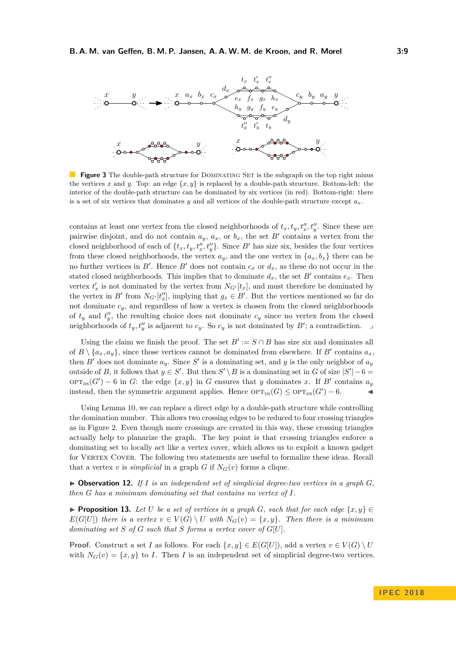<span id="page-8-0"></span>

**Figure 3** The double-path structure for DOMINATING SET is the subgraph on the top right minus the vertices *x* and *y*. Top: an edge  $\{x, y\}$  is replaced by a double-path structure. Bottom-left: the interior of the double-path structure can be dominated by six vertices (in red). Bottom-right: there is a set of six vertices that dominates *y* and all vertices of the double-path structure except  $a_x$ .

contains at least one vertex from the closed neighborhoods of  $t_x, t_y, t''_x, t''_y$ . Since these are pairwise disjoint, and do not contain  $a_y$ ,  $a_x$ , or  $b_x$ , the set  $B'$  contains a vertex from the closed neighborhood of each of  $\{t_x, t_y, t''_x, t''_y\}$ . Since  $B'$  has size six, besides the four vertices from these closed neighborhoods, the vertex  $a_y$ , and the one vertex in  $\{a_x, b_x\}$  there can be no further vertices in  $B'$ . Hence  $B'$  does not contain  $c_x$  or  $d_x$ , as these do not occur in the stated closed neighborhoods. This implies that to dominate  $d_x$ , the set  $B'$  contains  $e_x$ . Then vertex  $t'_x$  is not dominated by the vertex from  $N_{G'}[t_x]$ , and must therefore be dominated by the vertex in *B*<sup> $\prime$ </sup> from  $N_{G'}[t''_x]$ , implying that  $g_x \in B'$ . But the vertices mentioned so far do not dominate  $c_y$ , and regardless of how a vertex is chosen from the closed neighborhoods of  $t_y$  and  $t''_y$ , the resulting choice does not dominate  $c_y$  since no vertex from the closed neighborhoods of  $t_y, t''_y$  is adjacent to  $c_y$ . So  $c_y$  is not dominated by  $B'$ ; a contradiction.

Using the claim we finish the proof. The set  $B' := S \cap B$  has size six and dominates all of  $B \setminus \{a_x, a_y\}$ , since those vertices cannot be dominated from elsewhere. If  $B'$  contains  $a_x$ , then *B*<sup> $\prime$ </sup> does not dominate  $a_y$ . Since *S*<sup> $\prime$ </sup> is a dominating set, and *y* is the only neighbor of  $a_y$ outside of *B*, it follows that  $y \in S'$ . But then  $S' \setminus B$  is a dominating set in *G* of size  $|S'| - 6 =$  $\text{OPT}_{\text{DS}}(G') - 6$  in *G*: the edge  $\{x, y\}$  in *G* ensures that *y* dominates *x*. If *B'* contains  $a_y$ instead, then the symmetric argument applies. Hence  $\text{OPT}_{\text{DS}}(G) \leq \text{OPT}_{\text{DS}}(G') - 6.$ 

Using Lemma [10,](#page-7-1) we can replace a direct edge by a double-path structure while controlling the domination number. This allows two crossing edges to be reduced to four crossing triangles as in Figure [2.](#page-7-0) Even though more crossings are created in this way, these crossing triangles actually help to planarize the graph. The key point is that crossing triangles enforce a dominating set to locally act like a vertex cover, which allows us to exploit a known gadget for VERTEX COVER. The following two statements are useful to formalize these ideas. Recall that a vertex *v* is *simplicial* in a graph *G* if  $N_G(v)$  forms a clique.

<span id="page-8-1"></span> $\triangleright$  **Observation 12.** If *I* is an independent set of simplicial degree-two vertices in a graph  $G$ , *then G has a minimum dominating set that contains no vertex of I.*

<span id="page-8-2"></span>**► Proposition 13.** Let *U* be a set of vertices in a graph *G*, such that for each edge  $\{x, y\}$  ∈ *E*(*G*[*U*]) *there is a vertex*  $v \in V(G) \setminus U$  *with*  $N_G(v) = \{x, y\}$ *. Then there is a minimum dominating set S of G such that S forms a vertex cover of G*[*U*]*.*

**Proof.** Construct a set *I* as follows. For each  $\{x, y\} \in E(G[U])$ , add a vertex  $v \in V(G) \setminus U$ with  $N_G(v) = \{x, y\}$  to *I*. Then *I* is an independent set of simplicial degree-two vertices.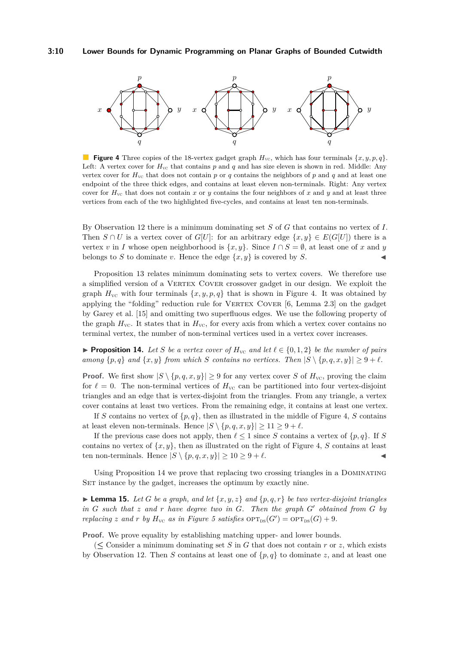<span id="page-9-0"></span>

**Figure 4** Three copies of the 18-vertex gadget graph  $H_{\text{VC}}$ , which has four terminals  $\{x, y, p, q\}$ . Left: A vertex cover for  $H_{\text{VC}}$  that contains p and q and has size eleven is shown in red. Middle: Any vertex cover for  $H_{\text{vc}}$  that does not contain p or q contains the neighbors of p and q and at least one endpoint of the three thick edges, and contains at least eleven non-terminals. Right: Any vertex cover for  $H_{\text{vc}}$  that does not contain *x* or *y* contains the four neighbors of *x* and *y* and at least three vertices from each of the two highlighted five-cycles, and contains at least ten non-terminals.

By Observation [12](#page-8-1) there is a minimum dominating set *S* of *G* that contains no vertex of *I*. Then  $S \cap U$  is a vertex cover of  $G[U]$ : for an arbitrary edge  $\{x, y\} \in E(G[U])$  there is a vertex *v* in *I* whose open neighborhood is  $\{x, y\}$ . Since  $I \cap S = \emptyset$ , at least one of *x* and *y* belongs to *S* to dominate *v*. Hence the edge  $\{x, y\}$  is covered by *S*.

Proposition [13](#page-8-2) relates minimum dominating sets to vertex covers. We therefore use a simplified version of a Vertex Cover crossover gadget in our design. We exploit the graph  $H_{\rm VC}$  with four terminals  $\{x, y, p, q\}$  that is shown in Figure [4.](#page-9-0) It was obtained by applying the "folding" reduction rule for VERTEX COVER  $[6, \text{Lemma } 2.3]$  $[6, \text{Lemma } 2.3]$  on the gadget by Garey et al. [\[15\]](#page-12-15) and omitting two superfluous edges. We use the following property of the graph  $H_{\text{VC}}$ . It states that in  $H_{\text{VC}}$ , for every axis from which a vertex cover contains no terminal vertex, the number of non-terminal vertices used in a vertex cover increases.

<span id="page-9-1"></span>**Proposition 14.** Let S be a vertex cover of  $H_{\text{vc}}$  and let  $\ell \in \{0, 1, 2\}$  be the number of pairs *among*  $\{p,q\}$  *and*  $\{x,y\}$  *from which S contains no vertices. Then*  $|S \setminus \{p,q,x,y\}| \geq 9 + \ell$ *.* 

**Proof.** We first show  $|S \setminus \{p,q,x,y\}| \geq 9$  for any vertex cover *S* of  $H_{\text{vc}}$ , proving the claim for  $\ell = 0$ . The non-terminal vertices of  $H_{\text{VC}}$  can be partitioned into four vertex-disjoint triangles and an edge that is vertex-disjoint from the triangles. From any triangle, a vertex cover contains at least two vertices. From the remaining edge, it contains at least one vertex.

If *S* contains no vertex of  $\{p,q\}$ , then as illustrated in the middle of Figure [4,](#page-9-0) *S* contains at least eleven non-terminals. Hence  $|S \setminus \{p,q,x,y\}| \geq 11 \geq 9 + \ell$ .

If the previous case does not apply, then  $\ell \leq 1$  since *S* contains a vertex of  $\{p, q\}$ . If *S* contains no vertex of  $\{x, y\}$ , then as illustrated on the right of Figure [4,](#page-9-0) *S* contains at least ten non-terminals. Hence  $|S \setminus \{p,q,x,y\}| \geq 10 \geq 9 + \ell$ .

Using Proposition [14](#page-9-1) we prove that replacing two crossing triangles in a Dominating SET instance by the gadget, increases the optimum by exactly nine.

<span id="page-9-2"></span> $\blacktriangleright$  **Lemma 15.** Let *G* be a graph, and let  $\{x, y, z\}$  and  $\{p, q, r\}$  be two vertex-disjoint triangles  $\int$  *in G* such that *z* and *r* have degree two in *G*. Then the graph  $G'$  obtained from  $G$  by *replacing z* and *r by*  $H_{\text{VC}}$  *as in Figure* [5](#page-10-0) *satisfies*  $\text{OPT}_{\text{DS}}(G') = \text{OPT}_{\text{DS}}(G) + 9$ *.* 

**Proof.** We prove equality by establishing matching upper- and lower bounds.

 $(\leq)$  Consider a minimum dominating set *S* in *G* that does not contain *r* or *z*, which exists by Observation [12.](#page-8-1) Then *S* contains at least one of  $\{p,q\}$  to dominate *z*, and at least one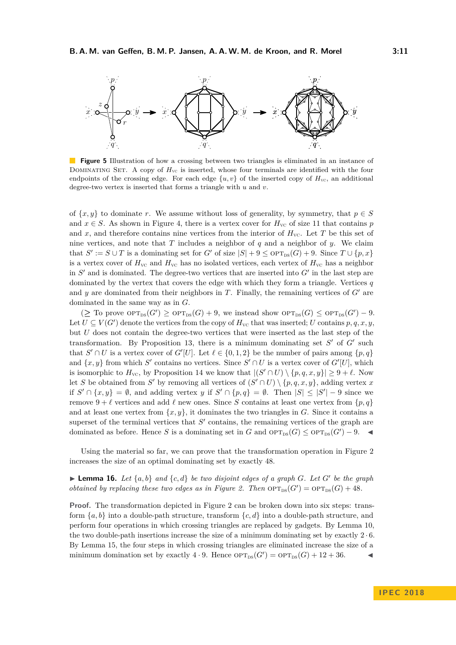<span id="page-10-0"></span>

**Figure 5** Illustration of how a crossing between two triangles is eliminated in an instance of DOMINATING SET. A copy of  $H_{\text{VC}}$  is inserted, whose four terminals are identified with the four endpoints of the crossing edge. For each edge  $\{u, v\}$  of the inserted copy of  $H_{\rm VC}$ , an additional degree-two vertex is inserted that forms a triangle with *u* and *v*.

of  $\{x, y\}$  to dominate *r*. We assume without loss of generality, by symmetry, that  $p \in S$ and  $x \in S$ . As shown in Figure [4,](#page-9-0) there is a vertex cover for  $H_{\rm VC}$  of size 11 that contains *p* and  $x$ , and therefore contains nine vertices from the interior of  $H_{\text{VC}}$ . Let  $T$  be this set of nine vertices, and note that *T* includes a neighbor of *q* and a neighbor of *y*. We claim that  $S' := S \cup T$  is a dominating set for  $G'$  of size  $|S| + 9 \leq \text{OPT}_{\text{DS}}(G) + 9$ . Since  $T \cup \{p, x\}$ is a vertex cover of  $H_{\text{VC}}$  and  $H_{\text{VC}}$  has no isolated vertices, each vertex of  $H_{\text{VC}}$  has a neighbor in  $S'$  and is dominated. The degree-two vertices that are inserted into  $G'$  in the last step are dominated by the vertex that covers the edge with which they form a triangle. Vertices *q* and  $y$  are dominated from their neighbors in  $T$ . Finally, the remaining vertices of  $G'$  are dominated in the same way as in *G*.

 $(\geq$  To prove  $\mathrm{OPT}_{\mathrm{DS}}(G') \geq \mathrm{OPT}_{\mathrm{DS}}(G) + 9$ , we instead show  $\mathrm{OPT}_{\mathrm{DS}}(G) \leq \mathrm{OPT}_{\mathrm{DS}}(G') - 9$ . Let  $U \subseteq V(G')$  denote the vertices from the copy of  $H_{\text{VC}}$  that was inserted; *U* contains  $p, q, x, y$ , but *U* does not contain the degree-two vertices that were inserted as the last step of the transformation. By Proposition [13,](#page-8-2) there is a minimum dominating set  $S'$  of  $G'$  such that  $S' \cap U$  is a vertex cover of  $G'[U]$ . Let  $\ell \in \{0,1,2\}$  be the number of pairs among  $\{p,q\}$ and  $\{x, y\}$  from which *S*<sup> $\prime$ </sup> contains no vertices. Since  $S' \cap U$  is a vertex cover of  $G'[U]$ , which is isomorphic to  $H_{\text{VC}}$ , by Proposition [14](#page-9-1) we know that  $|(S' \cap U) \setminus \{p,q,x,y\}| \geq 9 + \ell$ . Now let *S* be obtained from *S*<sup> $\prime$ </sup> by removing all vertices of  $(S' \cap U) \setminus \{p,q,x,y\}$ , adding vertex *x* if  $S' \cap \{x, y\} = \emptyset$ , and adding vertex *y* if  $S' \cap \{p, q\} = \emptyset$ . Then  $|S| \leq |S'| - 9$  since we remove  $9 + \ell$  vertices and add  $\ell$  new ones. Since *S* contains at least one vertex from  $\{p, q\}$ and at least one vertex from  $\{x, y\}$ , it dominates the two triangles in *G*. Since it contains a superset of the terminal vertices that  $S'$  contains, the remaining vertices of the graph are dominated as before. Hence *S* is a dominating set in *G* and  $\text{OPT}_{\text{DS}}(G) \leq \text{OPT}_{\text{DS}}(G') - 9.$ 

Using the material so far, we can prove that the transformation operation in Figure [2](#page-7-0) increases the size of an optimal dominating set by exactly 48.

<span id="page-10-1"></span>**Example 16.** Let  $\{a, b\}$  and  $\{c, d\}$  be two disjoint edges of a graph *G*. Let *G*<sup>*'*</sup> be the graph *obtained by replacing these two edges as in Figure [2.](#page-7-0) Then*  $\text{OPT}_{\text{DS}}(G') = \text{OPT}_{\text{DS}}(G) + 48$ .

**Proof.** The transformation depicted in Figure [2](#page-7-0) can be broken down into six steps: transform  ${a, b}$  into a double-path structure, transform  ${c, d}$  into a double-path structure, and perform four operations in which crossing triangles are replaced by gadgets. By Lemma [10,](#page-7-1) the two double-path insertions increase the size of a minimum dominating set by exactly 2 · 6. By Lemma [15,](#page-9-2) the four steps in which crossing triangles are eliminated increase the size of a minimum domination set by exactly  $4 \cdot 9$ . Hence  $\text{OPT}_{\text{DS}}(G') = \text{OPT}_{\text{DS}}(G) + 12 + 36$ .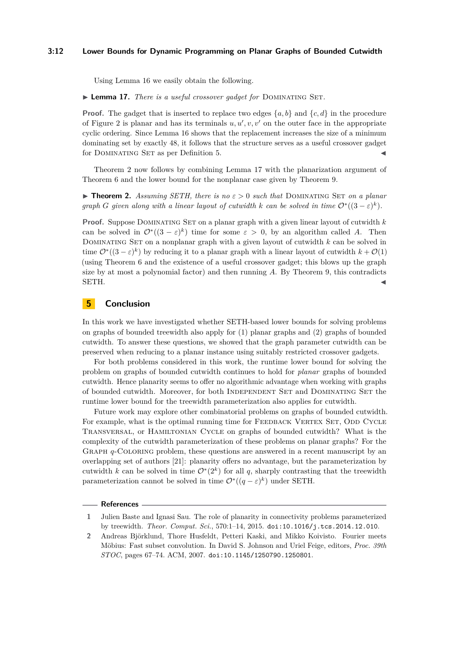#### **3:12 Lower Bounds for Dynamic Programming on Planar Graphs of Bounded Cutwidth**

Using Lemma [16](#page-10-1) we easily obtain the following.

<span id="page-11-3"></span>▶ **Lemma 17.** *There is a useful crossover gadget for* DOMINATING SET.

**Proof.** The gadget that is inserted to replace two edges  $\{a, b\}$  and  $\{c, d\}$  in the procedure of Figure [2](#page-7-0) is planar and has its terminals  $u, u', v, v'$  on the outer face in the appropriate cyclic ordering. Since Lemma [16](#page-10-1) shows that the replacement increases the size of a minimum dominating set by exactly 48, it follows that the structure serves as a useful crossover gadget for DOMINATING SET as per Definition [5.](#page-4-1)

Theorem [2](#page-2-3) now follows by combining Lemma [17](#page-11-3) with the planarization argument of Theorem [6](#page-4-6) and the lower bound for the nonplanar case given by Theorem [9.](#page-6-1)

**Find 1. Theorem [2.](#page-2-3)** Assuming SETH, there is no  $\varepsilon > 0$  such that DOMINATING SET on a planar *graph G given along with a linear layout of cutwidth k can be solved in time*  $\mathcal{O}^*((3-\varepsilon)^k)$ *.* 

**Proof.** Suppose Dominating Set on a planar graph with a given linear layout of cutwidth *k* can be solved in  $\mathcal{O}^*((3-\varepsilon)^k)$  time for some  $\varepsilon > 0$ , by an algorithm called *A*. Then Dominating Set on a nonplanar graph with a given layout of cutwidth *k* can be solved in time  $\mathcal{O}^*((3-\varepsilon)^k)$  by reducing it to a planar graph with a linear layout of cutwidth  $k+\mathcal{O}(1)$ (using Theorem [6](#page-4-6) and the existence of a useful crossover gadget; this blows up the graph size by at most a polynomial factor) and then running *A*. By Theorem [9,](#page-6-1) this contradicts SETH.

## <span id="page-11-2"></span>**5 Conclusion**

In this work we have investigated whether SETH-based lower bounds for solving problems on graphs of bounded treewidth also apply for (1) planar graphs and (2) graphs of bounded cutwidth. To answer these questions, we showed that the graph parameter cutwidth can be preserved when reducing to a planar instance using suitably restricted crossover gadgets.

For both problems considered in this work, the runtime lower bound for solving the problem on graphs of bounded cutwidth continues to hold for *planar* graphs of bounded cutwidth. Hence planarity seems to offer no algorithmic advantage when working with graphs of bounded cutwidth. Moreover, for both INDEPENDENT SET and DOMINATING SET the runtime lower bound for the treewidth parameterization also applies for cutwidth.

Future work may explore other combinatorial problems on graphs of bounded cutwidth. For example, what is the optimal running time for FEEDBACK VERTEX SET, ODD CYCLE Transversal, or Hamiltonian Cycle on graphs of bounded cutwidth? What is the complexity of the cutwidth parameterization of these problems on planar graphs? For the Graph *q*-Coloring problem, these questions are answered in a recent manuscript by an overlapping set of authors [\[21\]](#page-12-13): planarity offers no advantage, but the parameterization by cutwidth *k* can be solved in time  $\mathcal{O}^*(2^k)$  for all *q*, sharply contrasting that the treewidth parameterization cannot be solved in time  $\mathcal{O}^*((q-\varepsilon)^k)$  under SETH.

#### **References**

<span id="page-11-1"></span>**<sup>1</sup>** Julien Baste and Ignasi Sau. The role of planarity in connectivity problems parameterized by treewidth. *Theor. Comput. Sci.*, 570:1–14, 2015. [doi:10.1016/j.tcs.2014.12.010](http://dx.doi.org/10.1016/j.tcs.2014.12.010).

<span id="page-11-0"></span>**<sup>2</sup>** Andreas Björklund, Thore Husfeldt, Petteri Kaski, and Mikko Koivisto. Fourier meets Möbius: Fast subset convolution. In David S. Johnson and Uriel Feige, editors, *Proc. 39th STOC*, pages 67–74. ACM, 2007. [doi:10.1145/1250790.1250801](http://dx.doi.org/10.1145/1250790.1250801).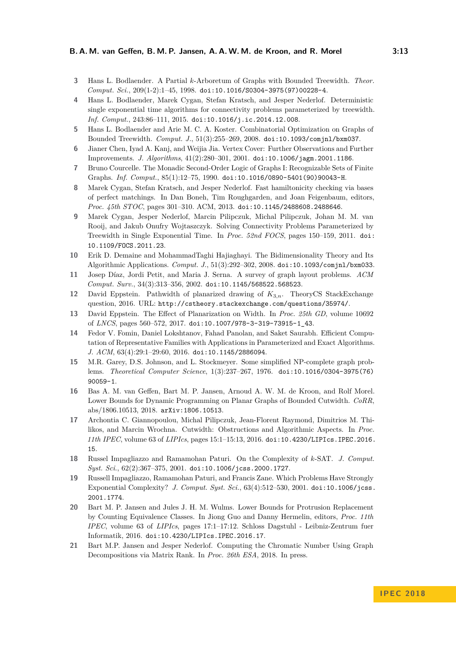- <span id="page-12-16"></span>**3** Hans L. Bodlaender. A Partial *k*-Arboretum of Graphs with Bounded Treewidth. *Theor. Comput. Sci.*, 209(1-2):1–45, 1998. [doi:10.1016/S0304-3975\(97\)00228-4](http://dx.doi.org/10.1016/S0304-3975(97)00228-4).
- <span id="page-12-4"></span>**4** Hans L. Bodlaender, Marek Cygan, Stefan Kratsch, and Jesper Nederlof. Deterministic single exponential time algorithms for connectivity problems parameterized by treewidth. *Inf. Comput.*, 243:86–111, 2015. [doi:10.1016/j.ic.2014.12.008](http://dx.doi.org/10.1016/j.ic.2014.12.008).
- <span id="page-12-1"></span>**5** Hans L. Bodlaender and Arie M. C. A. Koster. Combinatorial Optimization on Graphs of Bounded Treewidth. *Comput. J.*, 51(3):255–269, 2008. [doi:10.1093/comjnl/bxm037](http://dx.doi.org/10.1093/comjnl/bxm037).
- <span id="page-12-18"></span>**6** Jianer Chen, Iyad A. Kanj, and Weijia Jia. Vertex Cover: Further Observations and Further Improvements. *J. Algorithms*, 41(2):280–301, 2001. [doi:10.1006/jagm.2001.1186](http://dx.doi.org/10.1006/jagm.2001.1186).
- <span id="page-12-2"></span>**7** Bruno Courcelle. The Monadic Second-Order Logic of Graphs I: Recognizable Sets of Finite Graphs. *Inf. Comput.*, 85(1):12–75, 1990. [doi:10.1016/0890-5401\(90\)90043-H](http://dx.doi.org/10.1016/0890-5401(90)90043-H).
- <span id="page-12-5"></span>**8** Marek Cygan, Stefan Kratsch, and Jesper Nederlof. Fast hamiltonicity checking via bases of perfect matchings. In Dan Boneh, Tim Roughgarden, and Joan Feigenbaum, editors, *Proc. 45th STOC*, pages 301–310. ACM, 2013. [doi:10.1145/2488608.2488646](http://dx.doi.org/10.1145/2488608.2488646).
- <span id="page-12-3"></span>**9** Marek Cygan, Jesper Nederlof, Marcin Pilipczuk, Michal Pilipczuk, Johan M. M. van Rooij, and Jakub Onufry Wojtaszczyk. Solving Connectivity Problems Parameterized by Treewidth in Single Exponential Time. In *Proc. 52nd FOCS*, pages 150–159, 2011. [doi:](http://dx.doi.org/10.1109/FOCS.2011.23) [10.1109/FOCS.2011.23](http://dx.doi.org/10.1109/FOCS.2011.23).
- <span id="page-12-9"></span>**10** Erik D. Demaine and MohammadTaghi Hajiaghayi. The Bidimensionality Theory and Its Algorithmic Applications. *Comput. J.*, 51(3):292–302, 2008. [doi:10.1093/comjnl/bxm033](http://dx.doi.org/10.1093/comjnl/bxm033).
- <span id="page-12-10"></span>**11** Josep Díaz, Jordi Petit, and Maria J. Serna. A survey of graph layout problems. *ACM Comput. Surv.*, 34(3):313–356, 2002. [doi:10.1145/568522.568523](http://dx.doi.org/10.1145/568522.568523).
- <span id="page-12-14"></span>**12** David Eppstein. Pathwidth of planarized drawing of *K*3*,n*. TheoryCS StackExchange question, 2016. URL: <http://cstheory.stackexchange.com/questions/35974/>.
- <span id="page-12-12"></span>**13** David Eppstein. The Effect of Planarization on Width. In *Proc. 25th GD*, volume 10692 of *LNCS*, pages 560–572, 2017. [doi:10.1007/978-3-319-73915-1\\_43](http://dx.doi.org/10.1007/978-3-319-73915-1_43).
- <span id="page-12-6"></span>**14** Fedor V. Fomin, Daniel Lokshtanov, Fahad Panolan, and Saket Saurabh. Efficient Computation of Representative Families with Applications in Parameterized and Exact Algorithms. *J. ACM*, 63(4):29:1–29:60, 2016. [doi:10.1145/2886094](http://dx.doi.org/10.1145/2886094).
- <span id="page-12-15"></span>**15** M.R. Garey, D.S. Johnson, and L. Stockmeyer. Some simplified NP-complete graph problems. *Theoretical Computer Science*, 1(3):237–267, 1976. [doi:10.1016/0304-3975\(76\)](http://dx.doi.org/10.1016/0304-3975(76)90059-1) [90059-1](http://dx.doi.org/10.1016/0304-3975(76)90059-1).
- <span id="page-12-0"></span>**16** Bas A. M. van Geffen, Bart M. P. Jansen, Arnoud A. W. M. de Kroon, and Rolf Morel. Lower Bounds for Dynamic Programming on Planar Graphs of Bounded Cutwidth. *CoRR*, abs/1806.10513, 2018. [arXiv:1806.10513](http://arxiv.org/abs/1806.10513).
- <span id="page-12-11"></span>**17** Archontia C. Giannopoulou, Michal Pilipczuk, Jean-Florent Raymond, Dimitrios M. Thilikos, and Marcin Wrochna. Cutwidth: Obstructions and Algorithmic Aspects. In *Proc. 11th IPEC*, volume 63 of *LIPIcs*, pages 15:1–15:13, 2016. [doi:10.4230/LIPIcs.IPEC.2016.](http://dx.doi.org/10.4230/LIPIcs.IPEC.2016.15) [15](http://dx.doi.org/10.4230/LIPIcs.IPEC.2016.15).
- <span id="page-12-7"></span>**18** Russel Impagliazzo and Ramamohan Paturi. On the Complexity of *k*-SAT. *J. Comput. Syst. Sci.*, 62(2):367–375, 2001. [doi:10.1006/jcss.2000.1727](http://dx.doi.org/10.1006/jcss.2000.1727).
- <span id="page-12-8"></span>**19** Russell Impagliazzo, Ramamohan Paturi, and Francis Zane. Which Problems Have Strongly Exponential Complexity? *J. Comput. Syst. Sci.*, 63(4):512–530, 2001. [doi:10.1006/jcss.](http://dx.doi.org/10.1006/jcss.2001.1774) [2001.1774](http://dx.doi.org/10.1006/jcss.2001.1774).
- <span id="page-12-17"></span>**20** Bart M. P. Jansen and Jules J. H. M. Wulms. Lower Bounds for Protrusion Replacement by Counting Equivalence Classes. In Jiong Guo and Danny Hermelin, editors, *Proc. 11th IPEC*, volume 63 of *LIPIcs*, pages 17:1–17:12. Schloss Dagstuhl - Leibniz-Zentrum fuer Informatik, 2016. [doi:10.4230/LIPIcs.IPEC.2016.17](http://dx.doi.org/10.4230/LIPIcs.IPEC.2016.17).
- <span id="page-12-13"></span>**21** Bart M.P. Jansen and Jesper Nederlof. Computing the Chromatic Number Using Graph Decompositions via Matrix Rank. In *Proc. 26th ESA*, 2018. In press.